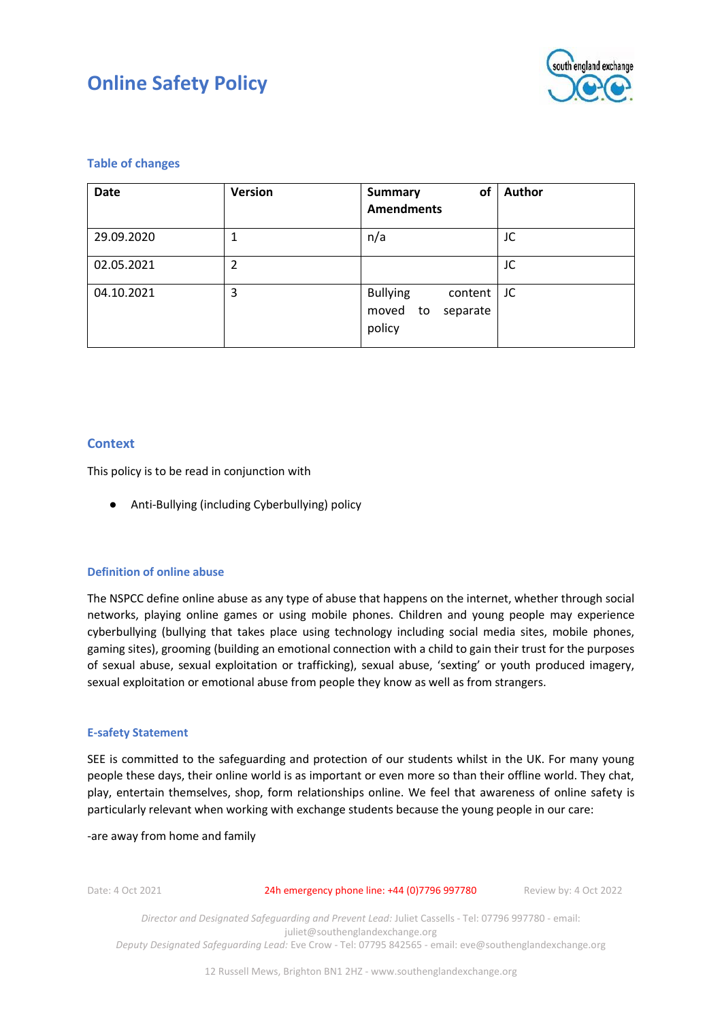

## **Table of changes**

| <b>Date</b> | <b>Version</b> | of<br><b>Summary</b><br><b>Amendments</b>                       | Author |
|-------------|----------------|-----------------------------------------------------------------|--------|
| 29.09.2020  |                | n/a                                                             | JC     |
| 02.05.2021  | 2              |                                                                 | JC     |
| 04.10.2021  | 3              | <b>Bullying</b><br>content<br>moved<br>separate<br>to<br>policy | JC     |

## **Context**

This policy is to be read in conjunction with

● Anti-Bullying (including Cyberbullying) policy

## **Definition of online abuse**

The NSPCC define online abuse as any type of abuse that happens on the internet, whether through social networks, playing online games or using mobile phones. Children and young people may experience cyberbullying (bullying that takes place using technology including social media sites, mobile phones, gaming sites), grooming (building an emotional connection with a child to gain their trust for the purposes of sexual abuse, sexual exploitation or trafficking), sexual abuse, 'sexting' or youth produced imagery, sexual exploitation or emotional abuse from people they know as well as from strangers.

## **E-safety Statement**

SEE is committed to the safeguarding and protection of our students whilst in the UK. For many young people these days, their online world is as important or even more so than their offline world. They chat, play, entertain themselves, shop, form relationships online. We feel that awareness of online safety is particularly relevant when working with exchange students because the young people in our care:

## -are away from home and family

Date: 4 Oct 2021 24h emergency phone line: +44 (0)7796 997780 Review by: 4 Oct 2022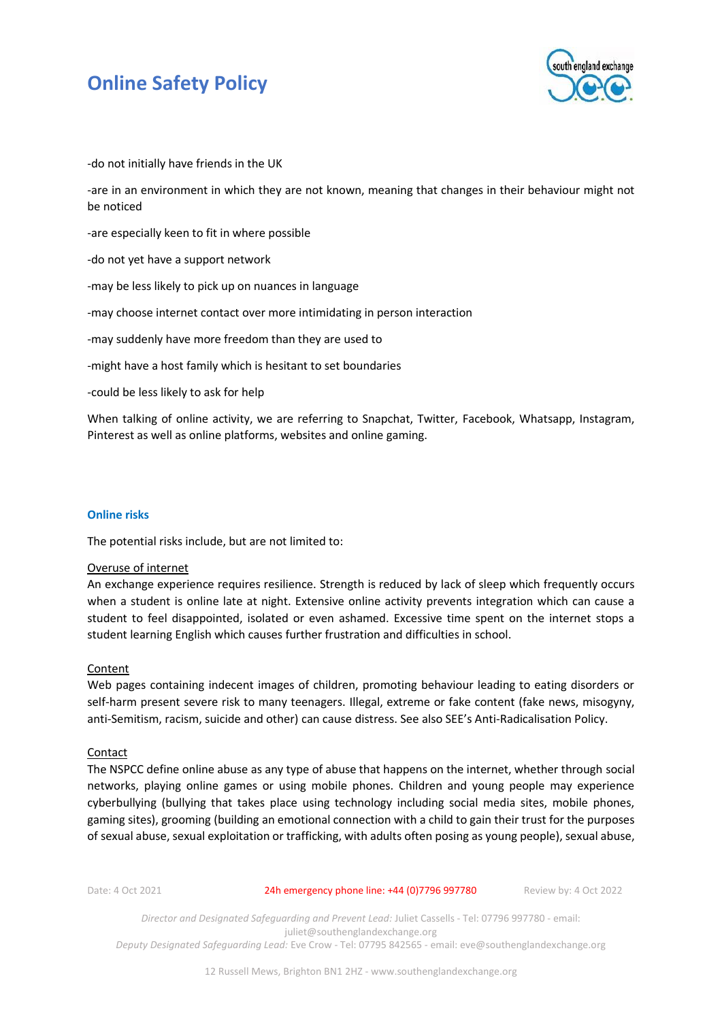

-do not initially have friends in the UK

-are in an environment in which they are not known, meaning that changes in their behaviour might not be noticed

-are especially keen to fit in where possible

-do not yet have a support network

-may be less likely to pick up on nuances in language

-may choose internet contact over more intimidating in person interaction

-may suddenly have more freedom than they are used to

-might have a host family which is hesitant to set boundaries

-could be less likely to ask for help

When talking of online activity, we are referring to Snapchat, Twitter, Facebook, Whatsapp, Instagram, Pinterest as well as online platforms, websites and online gaming.

### **Online risks**

The potential risks include, but are not limited to:

#### Overuse of internet

An exchange experience requires resilience. Strength is reduced by lack of sleep which frequently occurs when a student is online late at night. Extensive online activity prevents integration which can cause a student to feel disappointed, isolated or even ashamed. Excessive time spent on the internet stops a student learning English which causes further frustration and difficulties in school.

#### **Content**

Web pages containing indecent images of children, promoting behaviour leading to eating disorders or self-harm present severe risk to many teenagers. Illegal, extreme or fake content (fake news, misogyny, anti-Semitism, racism, suicide and other) can cause distress. See also SEE's Anti-Radicalisation Policy.

#### Contact

The NSPCC define online abuse as any type of abuse that happens on the internet, whether through social networks, playing online games or using mobile phones. Children and young people may experience cyberbullying (bullying that takes place using technology including social media sites, mobile phones, gaming sites), grooming (building an emotional connection with a child to gain their trust for the purposes of sexual abuse, sexual exploitation or trafficking, with adults often posing as young people), sexual abuse,

Date: 4 Oct 2021 24h emergency phone line: +44 (0)7796 997780 Review by: 4 Oct 2022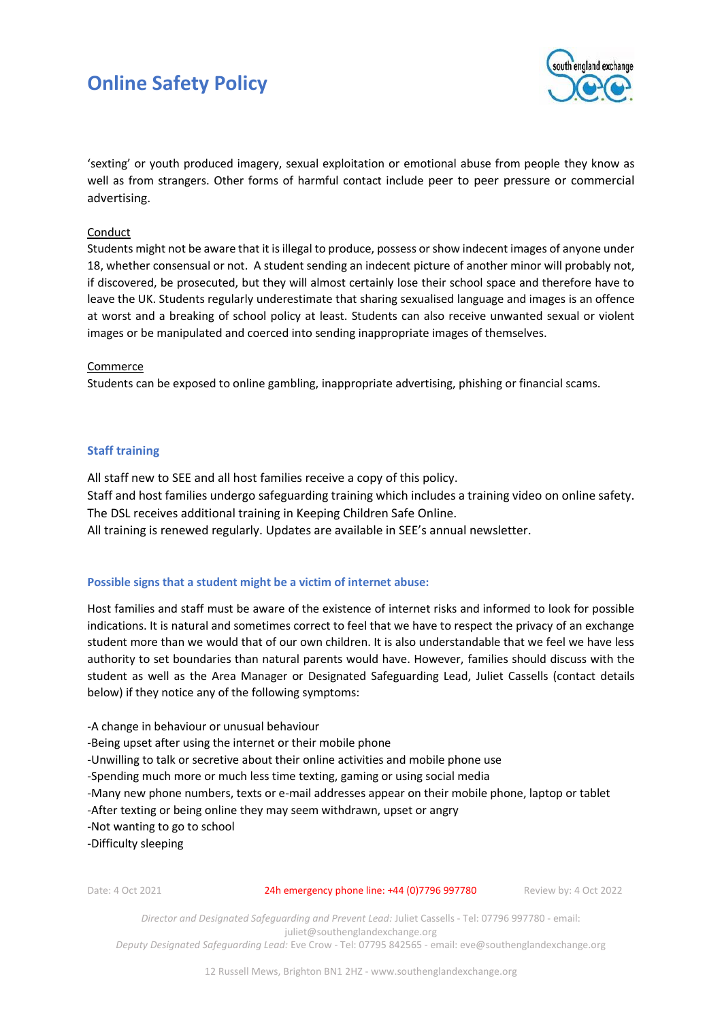

'sexting' or youth produced imagery, sexual exploitation or emotional abuse from people they know as well as from strangers. Other forms of harmful contact include peer to peer pressure or commercial advertising.

## **Conduct**

Students might not be aware that it is illegal to produce, possess or show indecent images of anyone under 18, whether consensual or not. A student sending an indecent picture of another minor will probably not, if discovered, be prosecuted, but they will almost certainly lose their school space and therefore have to leave the UK. Students regularly underestimate that sharing sexualised language and images is an offence at worst and a breaking of school policy at least. Students can also receive unwanted sexual or violent images or be manipulated and coerced into sending inappropriate images of themselves.

## Commerce

Students can be exposed to online gambling, inappropriate advertising, phishing or financial scams.

## **Staff training**

All staff new to SEE and all host families receive a copy of this policy. Staff and host families undergo safeguarding training which includes a training video on online safety. The DSL receives additional training in Keeping Children Safe Online. All training is renewed regularly. Updates are available in SEE's annual newsletter.

## **Possible signs that a student might be a victim of internet abuse:**

Host families and staff must be aware of the existence of internet risks and informed to look for possible indications. It is natural and sometimes correct to feel that we have to respect the privacy of an exchange student more than we would that of our own children. It is also understandable that we feel we have less authority to set boundaries than natural parents would have. However, families should discuss with the student as well as the Area Manager or Designated Safeguarding Lead, Juliet Cassells (contact details below) if they notice any of the following symptoms:

-A change in behaviour or unusual behaviour

-Being upset after using the internet or their mobile phone

-Unwilling to talk or secretive about their online activities and mobile phone use

-Spending much more or much less time texting, gaming or using social media

-Many new phone numbers, texts or e-mail addresses appear on their mobile phone, laptop or tablet

-After texting or being online they may seem withdrawn, upset or angry

-Not wanting to go to school

-Difficulty sleeping

#### Date: 4 Oct 2021 24h emergency phone line: +44 (0)7796 997780 Review by: 4 Oct 2022